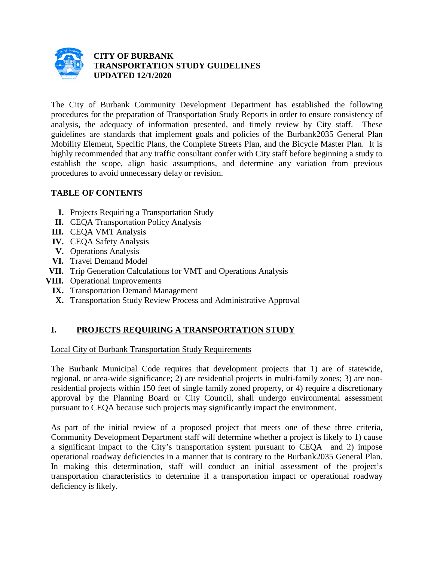

#### **CITY OF BURBANK TRANSPORTATION STUDY GUIDELINES UPDATED 12/1/2020**

The City of Burbank Community Development Department has established the following procedures for the preparation of Transportation Study Reports in order to ensure consistency of analysis, the adequacy of information presented, and timely review by City staff. These guidelines are standards that implement goals and policies of the Burbank2035 General Plan Mobility Element, Specific Plans, the Complete Streets Plan, and the Bicycle Master Plan. It is highly recommended that any traffic consultant confer with City staff before beginning a study to establish the scope, align basic assumptions, and determine any variation from previous procedures to avoid unnecessary delay or revision.

## **TABLE OF CONTENTS**

- **I.** Projects Requiring a Transportation Study
- **II.** CEQA Transportation Policy Analysis
- **III.** CEQA VMT Analysis
- **IV.** CEQA Safety Analysis
- **V.** Operations Analysis
- **VI.** Travel Demand Model
- **VII.** Trip Generation Calculations for VMT and Operations Analysis
- **VIII.** Operational Improvements
	- **IX.** Transportation Demand Management
	- **X.** Transportation Study Review Process and Administrative Approval

# **I. PROJECTS REQUIRING A TRANSPORTATION STUDY**

Local City of Burbank Transportation Study Requirements

The Burbank Municipal Code requires that development projects that 1) are of statewide, regional, or area-wide significance; 2) are residential projects in multi-family zones; 3) are nonresidential projects within 150 feet of single family zoned property, or 4) require a discretionary approval by the Planning Board or City Council, shall undergo environmental assessment pursuant to CEQA because such projects may significantly impact the environment.

As part of the initial review of a proposed project that meets one of these three criteria, Community Development Department staff will determine whether a project is likely to 1) cause a significant impact to the City's transportation system pursuant to CEQA and 2) impose operational roadway deficiencies in a manner that is contrary to the Burbank2035 General Plan. In making this determination, staff will conduct an initial assessment of the project's transportation characteristics to determine if a transportation impact or operational roadway deficiency is likely.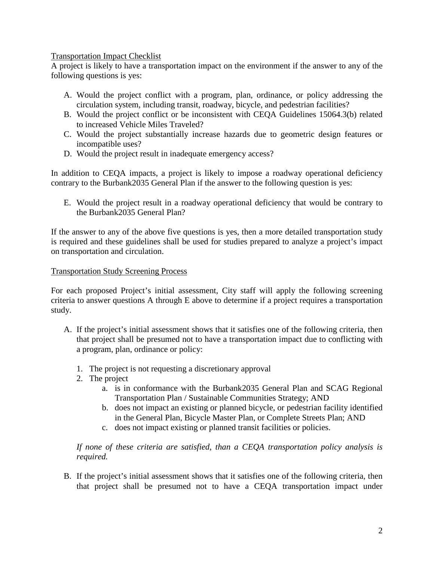#### Transportation Impact Checklist

A project is likely to have a transportation impact on the environment if the answer to any of the following questions is yes:

- A. Would the project conflict with a program, plan, ordinance, or policy addressing the circulation system, including transit, roadway, bicycle, and pedestrian facilities?
- B. Would the project conflict or be inconsistent with CEQA Guidelines 15064.3(b) related to increased Vehicle Miles Traveled?
- C. Would the project substantially increase hazards due to geometric design features or incompatible uses?
- D. Would the project result in inadequate emergency access?

In addition to CEQA impacts, a project is likely to impose a roadway operational deficiency contrary to the Burbank2035 General Plan if the answer to the following question is yes:

E. Would the project result in a roadway operational deficiency that would be contrary to the Burbank2035 General Plan?

If the answer to any of the above five questions is yes, then a more detailed transportation study is required and these guidelines shall be used for studies prepared to analyze a project's impact on transportation and circulation.

#### Transportation Study Screening Process

For each proposed Project's initial assessment, City staff will apply the following screening criteria to answer questions A through E above to determine if a project requires a transportation study.

- A. If the project's initial assessment shows that it satisfies one of the following criteria, then that project shall be presumed not to have a transportation impact due to conflicting with a program, plan, ordinance or policy:
	- 1. The project is not requesting a discretionary approval
	- 2. The project
		- a. is in conformance with the Burbank2035 General Plan and SCAG Regional Transportation Plan / Sustainable Communities Strategy; AND
		- b. does not impact an existing or planned bicycle, or pedestrian facility identified in the General Plan, Bicycle Master Plan, or Complete Streets Plan; AND
		- c. does not impact existing or planned transit facilities or policies.

*If none of these criteria are satisfied, than a CEQA transportation policy analysis is required.*

B. If the project's initial assessment shows that it satisfies one of the following criteria, then that project shall be presumed not to have a CEQA transportation impact under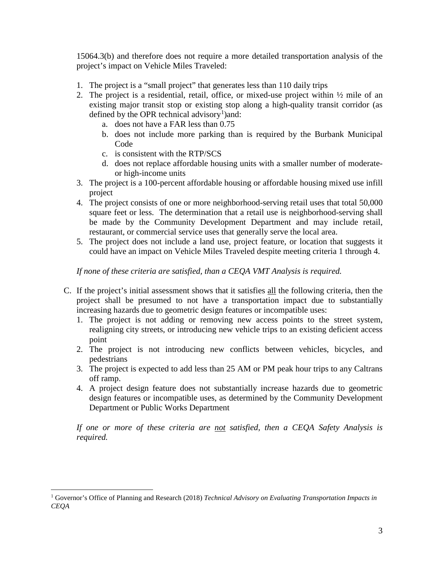15064.3(b) and therefore does not require a more detailed transportation analysis of the project's impact on Vehicle Miles Traveled:

- 1. The project is a "small project" that generates less than 110 daily trips
- 2. The project is a residential, retail, office, or mixed-use project within ½ mile of an existing major transit stop or existing stop along a high-quality transit corridor (as defined by the OPR technical advisory<sup>[1](#page-2-0)</sup>) and:
	- a. does not have a FAR less than 0.75
	- b. does not include more parking than is required by the Burbank Municipal Code
	- c. is consistent with the RTP/SCS
	- d. does not replace affordable housing units with a smaller number of moderateor high-income units
- 3. The project is a 100-percent affordable housing or affordable housing mixed use infill project
- 4. The project consists of one or more neighborhood-serving retail uses that total 50,000 square feet or less. The determination that a retail use is neighborhood-serving shall be made by the Community Development Department and may include retail, restaurant, or commercial service uses that generally serve the local area.
- 5. The project does not include a land use, project feature, or location that suggests it could have an impact on Vehicle Miles Traveled despite meeting criteria 1 through 4.

*If none of these criteria are satisfied, than a CEQA VMT Analysis is required.*

- C. If the project's initial assessment shows that it satisfies all the following criteria, then the project shall be presumed to not have a transportation impact due to substantially increasing hazards due to geometric design features or incompatible uses:
	- 1. The project is not adding or removing new access points to the street system, realigning city streets, or introducing new vehicle trips to an existing deficient access point
	- 2. The project is not introducing new conflicts between vehicles, bicycles, and pedestrians
	- 3. The project is expected to add less than 25 AM or PM peak hour trips to any Caltrans off ramp.
	- 4. A project design feature does not substantially increase hazards due to geometric design features or incompatible uses, as determined by the Community Development Department or Public Works Department

*If one or more of these criteria are not satisfied, then a CEQA Safety Analysis is required.*

<span id="page-2-0"></span> <sup>1</sup> Governor's Office of Planning and Research (2018) *Technical Advisory on Evaluating Transportation Impacts in CEQA*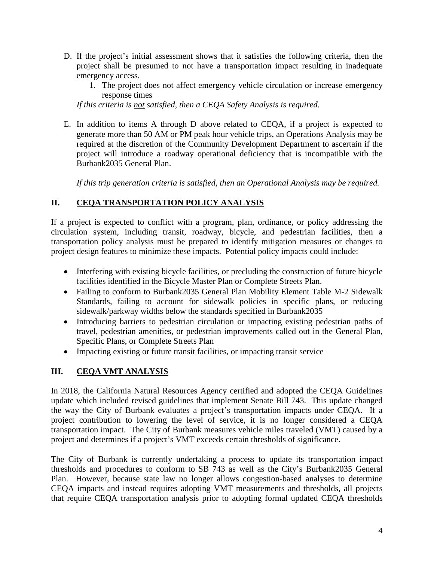- D. If the project's initial assessment shows that it satisfies the following criteria, then the project shall be presumed to not have a transportation impact resulting in inadequate emergency access.
	- 1. The project does not affect emergency vehicle circulation or increase emergency response times

*If this criteria is not satisfied, then a CEQA Safety Analysis is required.*

E. In addition to items A through D above related to CEQA, if a project is expected to generate more than 50 AM or PM peak hour vehicle trips, an Operations Analysis may be required at the discretion of the Community Development Department to ascertain if the project will introduce a roadway operational deficiency that is incompatible with the Burbank2035 General Plan.

*If this trip generation criteria is satisfied, then an Operational Analysis may be required.*

## **II. CEQA TRANSPORTATION POLICY ANALYSIS**

If a project is expected to conflict with a program, plan, ordinance, or policy addressing the circulation system, including transit, roadway, bicycle, and pedestrian facilities, then a transportation policy analysis must be prepared to identify mitigation measures or changes to project design features to minimize these impacts. Potential policy impacts could include:

- Interfering with existing bicycle facilities, or precluding the construction of future bicycle facilities identified in the Bicycle Master Plan or Complete Streets Plan.
- Failing to conform to Burbank2035 General Plan Mobility Element Table M-2 Sidewalk Standards, failing to account for sidewalk policies in specific plans, or reducing sidewalk/parkway widths below the standards specified in Burbank2035
- Introducing barriers to pedestrian circulation or impacting existing pedestrian paths of travel, pedestrian amenities, or pedestrian improvements called out in the General Plan, Specific Plans, or Complete Streets Plan
- Impacting existing or future transit facilities, or impacting transit service

# **III. CEQA VMT ANALYSIS**

In 2018, the California Natural Resources Agency certified and adopted the CEQA Guidelines update which included revised guidelines that implement Senate Bill 743. This update changed the way the City of Burbank evaluates a project's transportation impacts under CEQA. If a project contribution to lowering the level of service, it is no longer considered a CEQA transportation impact. The City of Burbank measures vehicle miles traveled (VMT) caused by a project and determines if a project's VMT exceeds certain thresholds of significance.

The City of Burbank is currently undertaking a process to update its transportation impact thresholds and procedures to conform to SB 743 as well as the City's Burbank2035 General Plan. However, because state law no longer allows congestion-based analyses to determine CEQA impacts and instead requires adopting VMT measurements and thresholds, all projects that require CEQA transportation analysis prior to adopting formal updated CEQA thresholds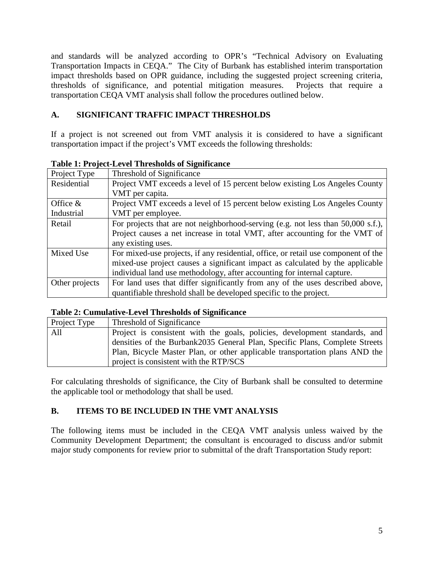and standards will be analyzed according to OPR's "Technical Advisory on Evaluating Transportation Impacts in CEQA." The City of Burbank has established interim transportation impact thresholds based on OPR guidance, including the suggested project screening criteria, thresholds of significance, and potential mitigation measures. Projects that require a transportation CEQA VMT analysis shall follow the procedures outlined below.

#### **A. SIGNIFICANT TRAFFIC IMPACT THRESHOLDS**

If a project is not screened out from VMT analysis it is considered to have a significant transportation impact if the project's VMT exceeds the following thresholds:

| Project Type   | Threshold of Significance                                                          |
|----------------|------------------------------------------------------------------------------------|
| Residential    | Project VMT exceeds a level of 15 percent below existing Los Angeles County        |
|                | VMT per capita.                                                                    |
| Office $&$     | Project VMT exceeds a level of 15 percent below existing Los Angeles County        |
| Industrial     | VMT per employee.                                                                  |
| Retail         | For projects that are not neighborhood-serving (e.g. not less than 50,000 s.f.),   |
|                | Project causes a net increase in total VMT, after accounting for the VMT of        |
|                | any existing uses.                                                                 |
| Mixed Use      | For mixed-use projects, if any residential, office, or retail use component of the |
|                | mixed-use project causes a significant impact as calculated by the applicable      |
|                | individual land use methodology, after accounting for internal capture.            |
| Other projects | For land uses that differ significantly from any of the uses described above,      |
|                | quantifiable threshold shall be developed specific to the project.                 |

**Table 1: Project-Level Thresholds of Significance**

#### **Table 2: Cumulative-Level Thresholds of Significance**

| Project Type | Threshold of Significance                                                   |
|--------------|-----------------------------------------------------------------------------|
| All          | Project is consistent with the goals, policies, development standards, and  |
|              | densities of the Burbank2035 General Plan, Specific Plans, Complete Streets |
|              | Plan, Bicycle Master Plan, or other applicable transportation plans AND the |
|              | project is consistent with the RTP/SCS                                      |

For calculating thresholds of significance, the City of Burbank shall be consulted to determine the applicable tool or methodology that shall be used.

## **B. ITEMS TO BE INCLUDED IN THE VMT ANALYSIS**

The following items must be included in the CEQA VMT analysis unless waived by the Community Development Department; the consultant is encouraged to discuss and/or submit major study components for review prior to submittal of the draft Transportation Study report: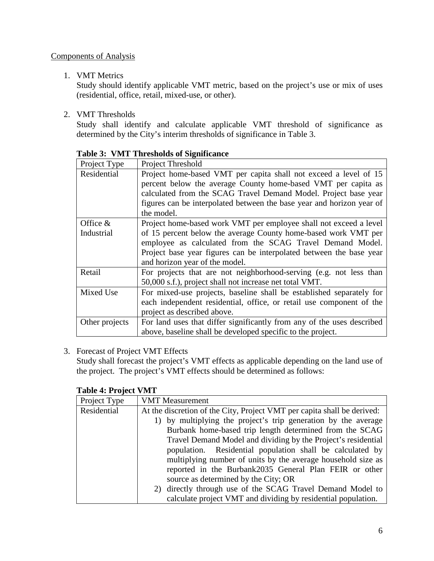#### Components of Analysis

#### 1. VMT Metrics

Study should identify applicable VMT metric, based on the project's use or mix of uses (residential, office, retail, mixed-use, or other).

2. VMT Thresholds

Study shall identify and calculate applicable VMT threshold of significance as determined by the City's interim thresholds of significance in Table 3.

| Project Type   | Project Threshold                                                      |
|----------------|------------------------------------------------------------------------|
| Residential    | Project home-based VMT per capita shall not exceed a level of 15       |
|                | percent below the average County home-based VMT per capita as          |
|                | calculated from the SCAG Travel Demand Model. Project base year        |
|                | figures can be interpolated between the base year and horizon year of  |
|                | the model.                                                             |
| Office $&$     | Project home-based work VMT per employee shall not exceed a level      |
| Industrial     | of 15 percent below the average County home-based work VMT per         |
|                | employee as calculated from the SCAG Travel Demand Model.              |
|                | Project base year figures can be interpolated between the base year    |
|                | and horizon year of the model.                                         |
| Retail         | For projects that are not neighborhood-serving (e.g. not less than     |
|                | 50,000 s.f.), project shall not increase net total VMT.                |
| Mixed Use      | For mixed-use projects, baseline shall be established separately for   |
|                | each independent residential, office, or retail use component of the   |
|                | project as described above.                                            |
| Other projects | For land uses that differ significantly from any of the uses described |
|                | above, baseline shall be developed specific to the project.            |

**Table 3: VMT Thresholds of Significance**

#### 3. Forecast of Project VMT Effects

Study shall forecast the project's VMT effects as applicable depending on the land use of the project. The project's VMT effects should be determined as follows:

#### **Table 4: Project VMT**

| Project Type | <b>VMT</b> Measurement                                                  |
|--------------|-------------------------------------------------------------------------|
| Residential  | At the discretion of the City, Project VMT per capita shall be derived: |
|              | 1) by multiplying the project's trip generation by the average          |
|              | Burbank home-based trip length determined from the SCAG                 |
|              | Travel Demand Model and dividing by the Project's residential           |
|              | population. Residential population shall be calculated by               |
|              | multiplying number of units by the average household size as            |
|              | reported in the Burbank2035 General Plan FEIR or other                  |
|              | source as determined by the City; OR                                    |
|              | 2) directly through use of the SCAG Travel Demand Model to              |
|              | calculate project VMT and dividing by residential population.           |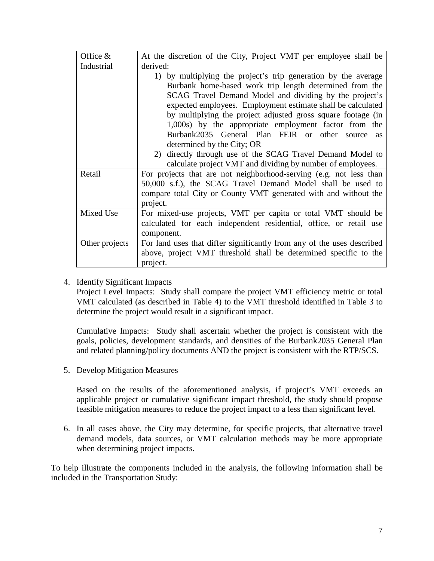| Office $&$     | At the discretion of the City, Project VMT per employee shall be       |
|----------------|------------------------------------------------------------------------|
| Industrial     | derived:                                                               |
|                | 1) by multiplying the project's trip generation by the average         |
|                | Burbank home-based work trip length determined from the                |
|                | SCAG Travel Demand Model and dividing by the project's                 |
|                | expected employees. Employment estimate shall be calculated            |
|                | by multiplying the project adjusted gross square footage (in           |
|                | 1,000s) by the appropriate employment factor from the                  |
|                | Burbank2035 General Plan FEIR or other source<br><b>as</b>             |
|                | determined by the City; OR                                             |
|                | directly through use of the SCAG Travel Demand Model to<br>2)          |
|                | calculate project VMT and dividing by number of employees.             |
| Retail         | For projects that are not neighborhood-serving (e.g. not less than     |
|                | 50,000 s.f.), the SCAG Travel Demand Model shall be used to            |
|                | compare total City or County VMT generated with and without the        |
|                | project.                                                               |
| Mixed Use      | For mixed-use projects, VMT per capita or total VMT should be          |
|                | calculated for each independent residential, office, or retail use     |
|                | component.                                                             |
| Other projects | For land uses that differ significantly from any of the uses described |
|                | above, project VMT threshold shall be determined specific to the       |
|                | project.                                                               |

4. Identify Significant Impacts

Project Level Impacts: Study shall compare the project VMT efficiency metric or total VMT calculated (as described in Table 4) to the VMT threshold identified in Table 3 to determine the project would result in a significant impact.

Cumulative Impacts: Study shall ascertain whether the project is consistent with the goals, policies, development standards, and densities of the Burbank2035 General Plan and related planning/policy documents AND the project is consistent with the RTP/SCS.

5. Develop Mitigation Measures

Based on the results of the aforementioned analysis, if project's VMT exceeds an applicable project or cumulative significant impact threshold, the study should propose feasible mitigation measures to reduce the project impact to a less than significant level.

6. In all cases above, the City may determine, for specific projects, that alternative travel demand models, data sources, or VMT calculation methods may be more appropriate when determining project impacts.

To help illustrate the components included in the analysis, the following information shall be included in the Transportation Study: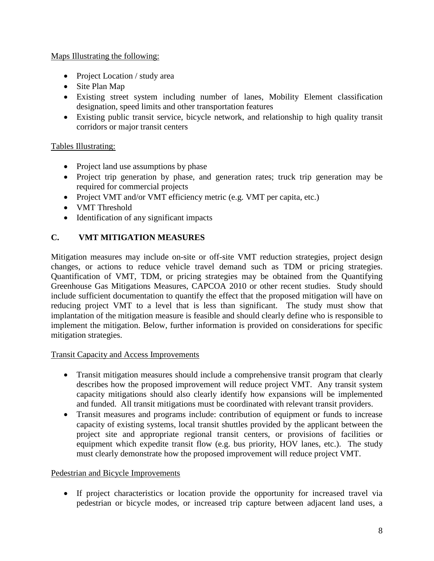#### Maps Illustrating the following:

- Project Location / study area
- Site Plan Map
- Existing street system including number of lanes, Mobility Element classification designation, speed limits and other transportation features
- Existing public transit service, bicycle network, and relationship to high quality transit corridors or major transit centers

### Tables Illustrating:

- Project land use assumptions by phase
- Project trip generation by phase, and generation rates; truck trip generation may be required for commercial projects
- Project VMT and/or VMT efficiency metric (e.g. VMT per capita, etc.)
- VMT Threshold
- Identification of any significant impacts

## **C. VMT MITIGATION MEASURES**

Mitigation measures may include on-site or off-site VMT reduction strategies, project design changes, or actions to reduce vehicle travel demand such as TDM or pricing strategies. Quantification of VMT, TDM, or pricing strategies may be obtained from the Quantifying Greenhouse Gas Mitigations Measures, CAPCOA 2010 or other recent studies. Study should include sufficient documentation to quantify the effect that the proposed mitigation will have on reducing project VMT to a level that is less than significant. The study must show that implantation of the mitigation measure is feasible and should clearly define who is responsible to implement the mitigation. Below, further information is provided on considerations for specific mitigation strategies.

#### Transit Capacity and Access Improvements

- Transit mitigation measures should include a comprehensive transit program that clearly describes how the proposed improvement will reduce project VMT. Any transit system capacity mitigations should also clearly identify how expansions will be implemented and funded. All transit mitigations must be coordinated with relevant transit providers.
- Transit measures and programs include: contribution of equipment or funds to increase capacity of existing systems, local transit shuttles provided by the applicant between the project site and appropriate regional transit centers, or provisions of facilities or equipment which expedite transit flow (e.g. bus priority, HOV lanes, etc.). The study must clearly demonstrate how the proposed improvement will reduce project VMT.

#### Pedestrian and Bicycle Improvements

• If project characteristics or location provide the opportunity for increased travel via pedestrian or bicycle modes, or increased trip capture between adjacent land uses, a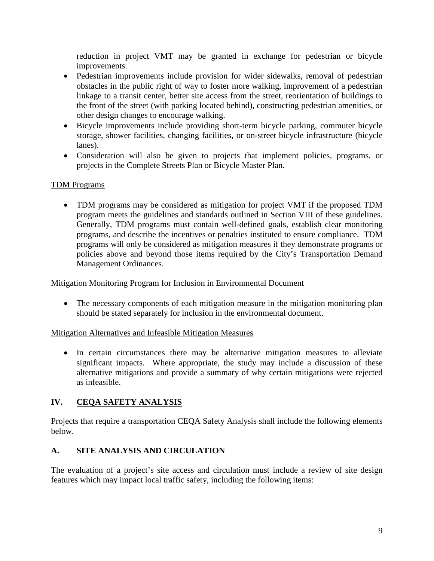reduction in project VMT may be granted in exchange for pedestrian or bicycle improvements.

- Pedestrian improvements include provision for wider sidewalks, removal of pedestrian obstacles in the public right of way to foster more walking, improvement of a pedestrian linkage to a transit center, better site access from the street, reorientation of buildings to the front of the street (with parking located behind), constructing pedestrian amenities, or other design changes to encourage walking.
- Bicycle improvements include providing short-term bicycle parking, commuter bicycle storage, shower facilities, changing facilities, or on-street bicycle infrastructure (bicycle lanes).
- Consideration will also be given to projects that implement policies, programs, or projects in the Complete Streets Plan or Bicycle Master Plan.

### TDM Programs

• TDM programs may be considered as mitigation for project VMT if the proposed TDM program meets the guidelines and standards outlined in Section VIII of these guidelines. Generally, TDM programs must contain well-defined goals, establish clear monitoring programs, and describe the incentives or penalties instituted to ensure compliance. TDM programs will only be considered as mitigation measures if they demonstrate programs or policies above and beyond those items required by the City's Transportation Demand Management Ordinances.

#### Mitigation Monitoring Program for Inclusion in Environmental Document

• The necessary components of each mitigation measure in the mitigation monitoring plan should be stated separately for inclusion in the environmental document.

Mitigation Alternatives and Infeasible Mitigation Measures

• In certain circumstances there may be alternative mitigation measures to alleviate significant impacts. Where appropriate, the study may include a discussion of these alternative mitigations and provide a summary of why certain mitigations were rejected as infeasible.

## **IV. CEQA SAFETY ANALYSIS**

Projects that require a transportation CEQA Safety Analysis shall include the following elements below.

## **A. SITE ANALYSIS AND CIRCULATION**

The evaluation of a project's site access and circulation must include a review of site design features which may impact local traffic safety, including the following items: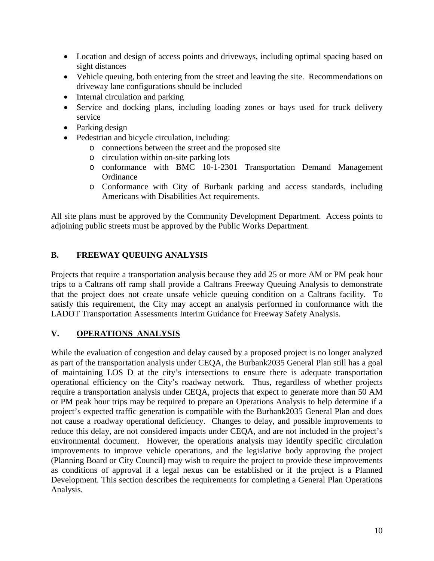- Location and design of access points and driveways, including optimal spacing based on sight distances
- Vehicle queuing, both entering from the street and leaving the site. Recommendations on driveway lane configurations should be included
- Internal circulation and parking
- Service and docking plans, including loading zones or bays used for truck delivery service
- Parking design
- Pedestrian and bicycle circulation, including:
	- o connections between the street and the proposed site
	- o circulation within on-site parking lots
	- o conformance with BMC 10-1-2301 Transportation Demand Management **Ordinance**
	- o Conformance with City of Burbank parking and access standards, including Americans with Disabilities Act requirements.

All site plans must be approved by the Community Development Department. Access points to adjoining public streets must be approved by the Public Works Department.

## **B. FREEWAY QUEUING ANALYSIS**

Projects that require a transportation analysis because they add 25 or more AM or PM peak hour trips to a Caltrans off ramp shall provide a Caltrans Freeway Queuing Analysis to demonstrate that the project does not create unsafe vehicle queuing condition on a Caltrans facility. To satisfy this requirement, the City may accept an analysis performed in conformance with the LADOT Transportation Assessments Interim Guidance for Freeway Safety Analysis.

## **V. OPERATIONS ANALYSIS**

While the evaluation of congestion and delay caused by a proposed project is no longer analyzed as part of the transportation analysis under CEQA, the Burbank2035 General Plan still has a goal of maintaining LOS D at the city's intersections to ensure there is adequate transportation operational efficiency on the City's roadway network. Thus, regardless of whether projects require a transportation analysis under CEQA, projects that expect to generate more than 50 AM or PM peak hour trips may be required to prepare an Operations Analysis to help determine if a project's expected traffic generation is compatible with the Burbank2035 General Plan and does not cause a roadway operational deficiency. Changes to delay, and possible improvements to reduce this delay, are not considered impacts under CEQA, and are not included in the project's environmental document. However, the operations analysis may identify specific circulation improvements to improve vehicle operations, and the legislative body approving the project (Planning Board or City Council) may wish to require the project to provide these improvements as conditions of approval if a legal nexus can be established or if the project is a Planned Development. This section describes the requirements for completing a General Plan Operations Analysis.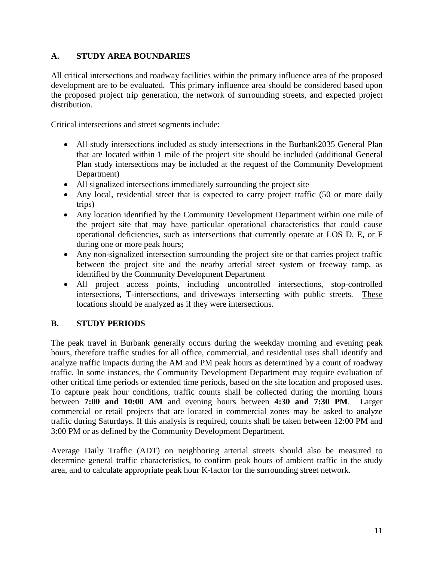### **A. STUDY AREA BOUNDARIES**

All critical intersections and roadway facilities within the primary influence area of the proposed development are to be evaluated. This primary influence area should be considered based upon the proposed project trip generation, the network of surrounding streets, and expected project distribution.

Critical intersections and street segments include:

- All study intersections included as study intersections in the Burbank2035 General Plan that are located within 1 mile of the project site should be included (additional General Plan study intersections may be included at the request of the Community Development Department)
- All signalized intersections immediately surrounding the project site
- Any local, residential street that is expected to carry project traffic (50 or more daily trips)
- Any location identified by the Community Development Department within one mile of the project site that may have particular operational characteristics that could cause operational deficiencies, such as intersections that currently operate at LOS D, E, or F during one or more peak hours;
- Any non-signalized intersection surrounding the project site or that carries project traffic between the project site and the nearby arterial street system or freeway ramp, as identified by the Community Development Department
- All project access points, including uncontrolled intersections, stop-controlled intersections, T-intersections, and driveways intersecting with public streets. These locations should be analyzed as if they were intersections.

## **B. STUDY PERIODS**

The peak travel in Burbank generally occurs during the weekday morning and evening peak hours, therefore traffic studies for all office, commercial, and residential uses shall identify and analyze traffic impacts during the AM and PM peak hours as determined by a count of roadway traffic. In some instances, the Community Development Department may require evaluation of other critical time periods or extended time periods, based on the site location and proposed uses. To capture peak hour conditions, traffic counts shall be collected during the morning hours between **7:00 and 10:00 AM** and evening hours between **4:30 and 7:30 PM**. Larger commercial or retail projects that are located in commercial zones may be asked to analyze traffic during Saturdays. If this analysis is required, counts shall be taken between 12:00 PM and 3:00 PM or as defined by the Community Development Department.

Average Daily Traffic (ADT) on neighboring arterial streets should also be measured to determine general traffic characteristics, to confirm peak hours of ambient traffic in the study area, and to calculate appropriate peak hour K-factor for the surrounding street network.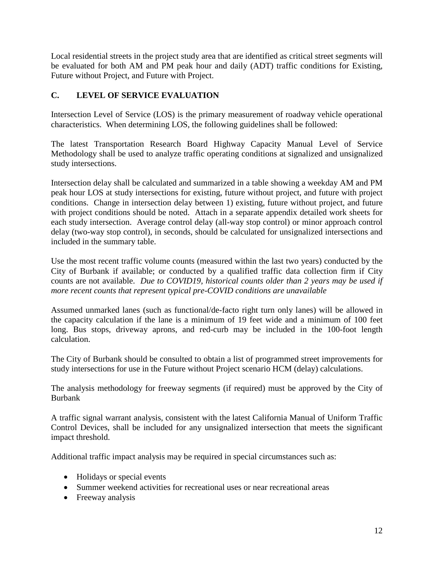Local residential streets in the project study area that are identified as critical street segments will be evaluated for both AM and PM peak hour and daily (ADT) traffic conditions for Existing, Future without Project, and Future with Project.

## **C. LEVEL OF SERVICE EVALUATION**

Intersection Level of Service (LOS) is the primary measurement of roadway vehicle operational characteristics. When determining LOS, the following guidelines shall be followed:

The latest Transportation Research Board Highway Capacity Manual Level of Service Methodology shall be used to analyze traffic operating conditions at signalized and unsignalized study intersections.

Intersection delay shall be calculated and summarized in a table showing a weekday AM and PM peak hour LOS at study intersections for existing, future without project, and future with project conditions. Change in intersection delay between 1) existing, future without project, and future with project conditions should be noted. Attach in a separate appendix detailed work sheets for each study intersection. Average control delay (all-way stop control) or minor approach control delay (two-way stop control), in seconds, should be calculated for unsignalized intersections and included in the summary table.

Use the most recent traffic volume counts (measured within the last two years) conducted by the City of Burbank if available; or conducted by a qualified traffic data collection firm if City counts are not available. *Due to COVID19, historical counts older than 2 years may be used if more recent counts that represent typical pre-COVID conditions are unavailable*

Assumed unmarked lanes (such as functional/de-facto right turn only lanes) will be allowed in the capacity calculation if the lane is a minimum of 19 feet wide and a minimum of 100 feet long. Bus stops, driveway aprons, and red-curb may be included in the 100-foot length calculation.

The City of Burbank should be consulted to obtain a list of programmed street improvements for study intersections for use in the Future without Project scenario HCM (delay) calculations.

The analysis methodology for freeway segments (if required) must be approved by the City of Burbank

A traffic signal warrant analysis, consistent with the latest California Manual of Uniform Traffic Control Devices, shall be included for any unsignalized intersection that meets the significant impact threshold.

Additional traffic impact analysis may be required in special circumstances such as:

- Holidays or special events
- Summer weekend activities for recreational uses or near recreational areas
- Freeway analysis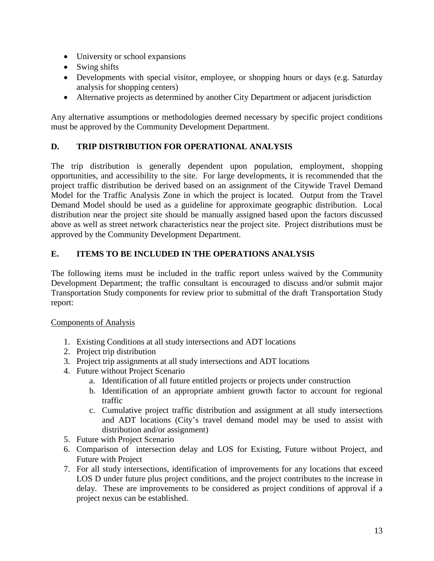- University or school expansions
- Swing shifts
- Developments with special visitor, employee, or shopping hours or days (e.g. Saturday analysis for shopping centers)
- Alternative projects as determined by another City Department or adjacent jurisdiction

Any alternative assumptions or methodologies deemed necessary by specific project conditions must be approved by the Community Development Department.

### **D. TRIP DISTRIBUTION FOR OPERATIONAL ANALYSIS**

The trip distribution is generally dependent upon population, employment, shopping opportunities, and accessibility to the site. For large developments, it is recommended that the project traffic distribution be derived based on an assignment of the Citywide Travel Demand Model for the Traffic Analysis Zone in which the project is located. Output from the Travel Demand Model should be used as a guideline for approximate geographic distribution. Local distribution near the project site should be manually assigned based upon the factors discussed above as well as street network characteristics near the project site. Project distributions must be approved by the Community Development Department.

#### **E. ITEMS TO BE INCLUDED IN THE OPERATIONS ANALYSIS**

The following items must be included in the traffic report unless waived by the Community Development Department; the traffic consultant is encouraged to discuss and/or submit major Transportation Study components for review prior to submittal of the draft Transportation Study report:

#### Components of Analysis

- 1. Existing Conditions at all study intersections and ADT locations
- 2. Project trip distribution
- 3. Project trip assignments at all study intersections and ADT locations
- 4. Future without Project Scenario
	- a. Identification of all future entitled projects or projects under construction
	- b. Identification of an appropriate ambient growth factor to account for regional traffic
	- c. Cumulative project traffic distribution and assignment at all study intersections and ADT locations (City's travel demand model may be used to assist with distribution and/or assignment)
- 5. Future with Project Scenario
- 6. Comparison of intersection delay and LOS for Existing, Future without Project, and Future with Project
- 7. For all study intersections, identification of improvements for any locations that exceed LOS D under future plus project conditions, and the project contributes to the increase in delay. These are improvements to be considered as project conditions of approval if a project nexus can be established.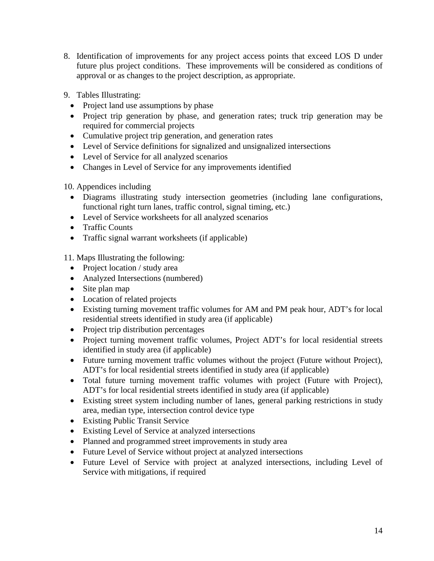- 8. Identification of improvements for any project access points that exceed LOS D under future plus project conditions. These improvements will be considered as conditions of approval or as changes to the project description, as appropriate.
- 9. Tables Illustrating:
	- Project land use assumptions by phase
	- Project trip generation by phase, and generation rates; truck trip generation may be required for commercial projects
	- Cumulative project trip generation, and generation rates
	- Level of Service definitions for signalized and unsignalized intersections
	- Level of Service for all analyzed scenarios
	- Changes in Level of Service for any improvements identified

10. Appendices including

- Diagrams illustrating study intersection geometries (including lane configurations, functional right turn lanes, traffic control, signal timing, etc.)
- Level of Service worksheets for all analyzed scenarios
- Traffic Counts
- Traffic signal warrant worksheets (if applicable)

11. Maps Illustrating the following:

- Project location / study area
- Analyzed Intersections (numbered)
- Site plan map
- Location of related projects
- Existing turning movement traffic volumes for AM and PM peak hour, ADT's for local residential streets identified in study area (if applicable)
- Project trip distribution percentages
- Project turning movement traffic volumes, Project ADT's for local residential streets identified in study area (if applicable)
- Future turning movement traffic volumes without the project (Future without Project), ADT's for local residential streets identified in study area (if applicable)
- Total future turning movement traffic volumes with project (Future with Project), ADT's for local residential streets identified in study area (if applicable)
- Existing street system including number of lanes, general parking restrictions in study area, median type, intersection control device type
- Existing Public Transit Service
- Existing Level of Service at analyzed intersections
- Planned and programmed street improvements in study area
- Future Level of Service without project at analyzed intersections
- Future Level of Service with project at analyzed intersections, including Level of Service with mitigations, if required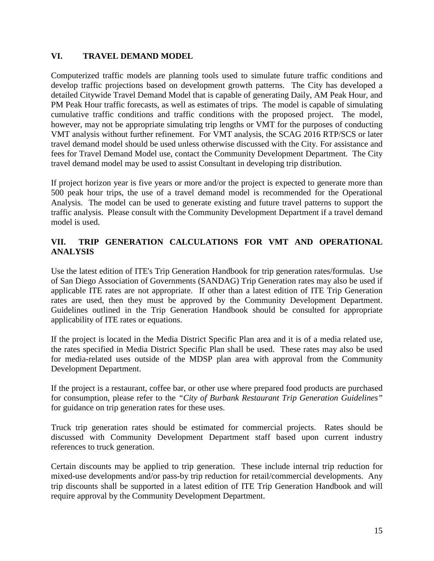#### **VI. TRAVEL DEMAND MODEL**

Computerized traffic models are planning tools used to simulate future traffic conditions and develop traffic projections based on development growth patterns. The City has developed a detailed Citywide Travel Demand Model that is capable of generating Daily, AM Peak Hour, and PM Peak Hour traffic forecasts, as well as estimates of trips. The model is capable of simulating cumulative traffic conditions and traffic conditions with the proposed project. The model, however, may not be appropriate simulating trip lengths or VMT for the purposes of conducting VMT analysis without further refinement. For VMT analysis, the SCAG 2016 RTP/SCS or later travel demand model should be used unless otherwise discussed with the City. For assistance and fees for Travel Demand Model use, contact the Community Development Department. The City travel demand model may be used to assist Consultant in developing trip distribution.

If project horizon year is five years or more and/or the project is expected to generate more than 500 peak hour trips, the use of a travel demand model is recommended for the Operational Analysis. The model can be used to generate existing and future travel patterns to support the traffic analysis. Please consult with the Community Development Department if a travel demand model is used.

## **VII. TRIP GENERATION CALCULATIONS FOR VMT AND OPERATIONAL ANALYSIS**

Use the latest edition of ITE's Trip Generation Handbook for trip generation rates/formulas. Use of San Diego Association of Governments (SANDAG) Trip Generation rates may also be used if applicable ITE rates are not appropriate. If other than a latest edition of ITE Trip Generation rates are used, then they must be approved by the Community Development Department. Guidelines outlined in the Trip Generation Handbook should be consulted for appropriate applicability of ITE rates or equations.

If the project is located in the Media District Specific Plan area and it is of a media related use, the rates specified in Media District Specific Plan shall be used. These rates may also be used for media-related uses outside of the MDSP plan area with approval from the Community Development Department.

If the project is a restaurant, coffee bar, or other use where prepared food products are purchased for consumption, please refer to the *"City of Burbank Restaurant Trip Generation Guidelines"* for guidance on trip generation rates for these uses.

Truck trip generation rates should be estimated for commercial projects. Rates should be discussed with Community Development Department staff based upon current industry references to truck generation.

Certain discounts may be applied to trip generation. These include internal trip reduction for mixed-use developments and/or pass-by trip reduction for retail/commercial developments. Any trip discounts shall be supported in a latest edition of ITE Trip Generation Handbook and will require approval by the Community Development Department.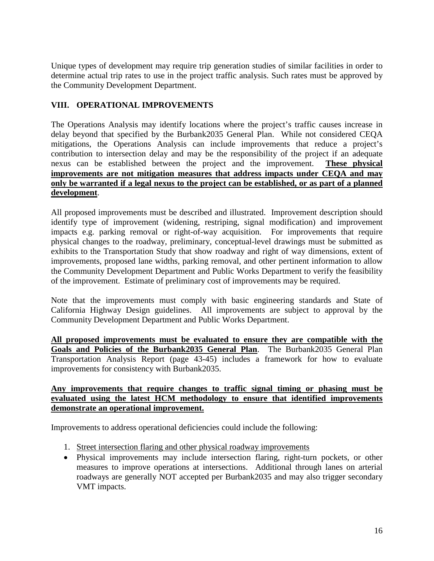Unique types of development may require trip generation studies of similar facilities in order to determine actual trip rates to use in the project traffic analysis. Such rates must be approved by the Community Development Department.

### **VIII. OPERATIONAL IMPROVEMENTS**

The Operations Analysis may identify locations where the project's traffic causes increase in delay beyond that specified by the Burbank2035 General Plan. While not considered CEQA mitigations, the Operations Analysis can include improvements that reduce a project's contribution to intersection delay and may be the responsibility of the project if an adequate nexus can be established between the project and the improvement. **These physical improvements are not mitigation measures that address impacts under CEQA and may only be warranted if a legal nexus to the project can be established, or as part of a planned development**.

All proposed improvements must be described and illustrated. Improvement description should identify type of improvement (widening, restriping, signal modification) and improvement impacts e.g. parking removal or right-of-way acquisition. For improvements that require physical changes to the roadway, preliminary, conceptual-level drawings must be submitted as exhibits to the Transportation Study that show roadway and right of way dimensions, extent of improvements, proposed lane widths, parking removal, and other pertinent information to allow the Community Development Department and Public Works Department to verify the feasibility of the improvement. Estimate of preliminary cost of improvements may be required.

Note that the improvements must comply with basic engineering standards and State of California Highway Design guidelines. All improvements are subject to approval by the Community Development Department and Public Works Department.

**All proposed improvements must be evaluated to ensure they are compatible with the Goals and Policies of the Burbank2035 General Plan**. The Burbank2035 General Plan Transportation Analysis Report (page 43-45) includes a framework for how to evaluate improvements for consistency with Burbank2035.

#### **Any improvements that require changes to traffic signal timing or phasing must be evaluated using the latest HCM methodology to ensure that identified improvements demonstrate an operational improvement.**

Improvements to address operational deficiencies could include the following:

- 1. Street intersection flaring and other physical roadway improvements
- Physical improvements may include intersection flaring, right-turn pockets, or other measures to improve operations at intersections. Additional through lanes on arterial roadways are generally NOT accepted per Burbank2035 and may also trigger secondary VMT impacts.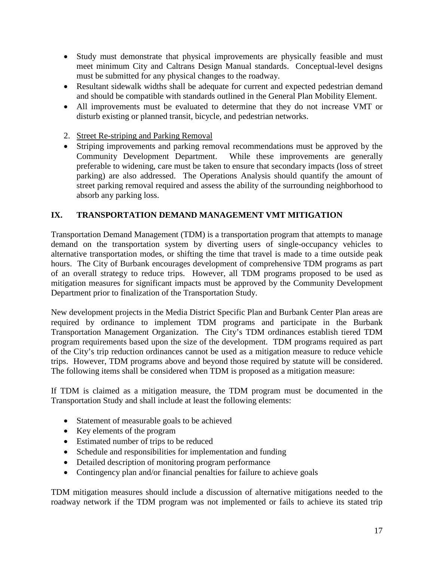- Study must demonstrate that physical improvements are physically feasible and must meet minimum City and Caltrans Design Manual standards. Conceptual-level designs must be submitted for any physical changes to the roadway.
- Resultant sidewalk widths shall be adequate for current and expected pedestrian demand and should be compatible with standards outlined in the General Plan Mobility Element.
- All improvements must be evaluated to determine that they do not increase VMT or disturb existing or planned transit, bicycle, and pedestrian networks.
- 2. Street Re-striping and Parking Removal
- Striping improvements and parking removal recommendations must be approved by the Community Development Department. While these improvements are generally preferable to widening, care must be taken to ensure that secondary impacts (loss of street parking) are also addressed. The Operations Analysis should quantify the amount of street parking removal required and assess the ability of the surrounding neighborhood to absorb any parking loss.

### **IX. TRANSPORTATION DEMAND MANAGEMENT VMT MITIGATION**

Transportation Demand Management (TDM) is a transportation program that attempts to manage demand on the transportation system by diverting users of single-occupancy vehicles to alternative transportation modes, or shifting the time that travel is made to a time outside peak hours. The City of Burbank encourages development of comprehensive TDM programs as part of an overall strategy to reduce trips. However, all TDM programs proposed to be used as mitigation measures for significant impacts must be approved by the Community Development Department prior to finalization of the Transportation Study.

New development projects in the Media District Specific Plan and Burbank Center Plan areas are required by ordinance to implement TDM programs and participate in the Burbank Transportation Management Organization. The City's TDM ordinances establish tiered TDM program requirements based upon the size of the development. TDM programs required as part of the City's trip reduction ordinances cannot be used as a mitigation measure to reduce vehicle trips. However, TDM programs above and beyond those required by statute will be considered. The following items shall be considered when TDM is proposed as a mitigation measure:

If TDM is claimed as a mitigation measure, the TDM program must be documented in the Transportation Study and shall include at least the following elements:

- Statement of measurable goals to be achieved
- Key elements of the program
- Estimated number of trips to be reduced
- Schedule and responsibilities for implementation and funding
- Detailed description of monitoring program performance
- Contingency plan and/or financial penalties for failure to achieve goals

TDM mitigation measures should include a discussion of alternative mitigations needed to the roadway network if the TDM program was not implemented or fails to achieve its stated trip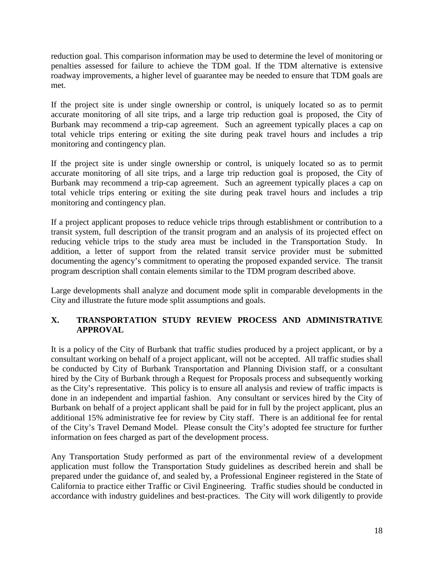reduction goal. This comparison information may be used to determine the level of monitoring or penalties assessed for failure to achieve the TDM goal. If the TDM alternative is extensive roadway improvements, a higher level of guarantee may be needed to ensure that TDM goals are met.

If the project site is under single ownership or control, is uniquely located so as to permit accurate monitoring of all site trips, and a large trip reduction goal is proposed, the City of Burbank may recommend a trip-cap agreement. Such an agreement typically places a cap on total vehicle trips entering or exiting the site during peak travel hours and includes a trip monitoring and contingency plan.

If the project site is under single ownership or control, is uniquely located so as to permit accurate monitoring of all site trips, and a large trip reduction goal is proposed, the City of Burbank may recommend a trip-cap agreement. Such an agreement typically places a cap on total vehicle trips entering or exiting the site during peak travel hours and includes a trip monitoring and contingency plan.

If a project applicant proposes to reduce vehicle trips through establishment or contribution to a transit system, full description of the transit program and an analysis of its projected effect on reducing vehicle trips to the study area must be included in the Transportation Study. In addition, a letter of support from the related transit service provider must be submitted documenting the agency's commitment to operating the proposed expanded service. The transit program description shall contain elements similar to the TDM program described above.

Large developments shall analyze and document mode split in comparable developments in the City and illustrate the future mode split assumptions and goals.

### **X. TRANSPORTATION STUDY REVIEW PROCESS AND ADMINISTRATIVE APPROVAL**

It is a policy of the City of Burbank that traffic studies produced by a project applicant, or by a consultant working on behalf of a project applicant, will not be accepted. All traffic studies shall be conducted by City of Burbank Transportation and Planning Division staff, or a consultant hired by the City of Burbank through a Request for Proposals process and subsequently working as the City's representative. This policy is to ensure all analysis and review of traffic impacts is done in an independent and impartial fashion. Any consultant or services hired by the City of Burbank on behalf of a project applicant shall be paid for in full by the project applicant, plus an additional 15% administrative fee for review by City staff. There is an additional fee for rental of the City's Travel Demand Model. Please consult the City's adopted fee structure for further information on fees charged as part of the development process.

Any Transportation Study performed as part of the environmental review of a development application must follow the Transportation Study guidelines as described herein and shall be prepared under the guidance of, and sealed by, a Professional Engineer registered in the State of California to practice either Traffic or Civil Engineering. Traffic studies should be conducted in accordance with industry guidelines and best-practices. The City will work diligently to provide